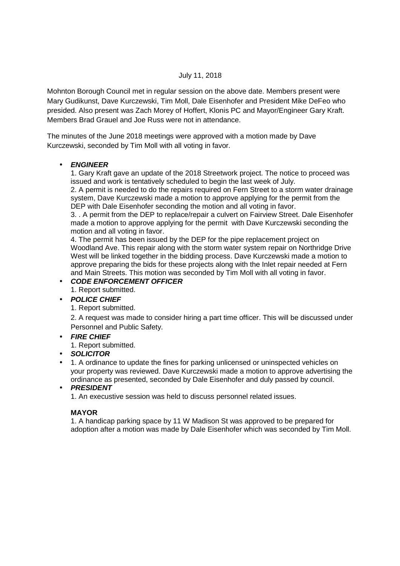#### July 11, 2018

Mohnton Borough Council met in regular session on the above date. Members present were Mary Gudikunst, Dave Kurczewski, Tim Moll, Dale Eisenhofer and President Mike DeFeo who presided. Also present was Zach Morey of Hoffert, Klonis PC and Mayor/Engineer Gary Kraft. Members Brad Grauel and Joe Russ were not in attendance.

The minutes of the June 2018 meetings were approved with a motion made by Dave Kurczewski, seconded by Tim Moll with all voting in favor.

#### • **ENGINEER**

1. Gary Kraft gave an update of the 2018 Streetwork project. The notice to proceed was issued and work is tentatively scheduled to begin the last week of July.

2. A permit is needed to do the repairs required on Fern Street to a storm water drainage system, Dave Kurczewski made a motion to approve applying for the permit from the DEP with Dale Eisenhofer seconding the motion and all voting in favor.

3. . A permit from the DEP to replace/repair a culvert on Fairview Street. Dale Eisenhofer made a motion to approve applying for the permit with Dave Kurczewski seconding the motion and all voting in favor.

4. The permit has been issued by the DEP for the pipe replacement project on Woodland Ave. This repair along with the storm water system repair on Northridge Drive West will be linked together in the bidding process. Dave Kurczewski made a motion to approve preparing the bids for these projects along with the Inlet repair needed at Fern and Main Streets. This motion was seconded by Tim Moll with all voting in favor.

# • **CODE ENFORCEMENT OFFICER**

1. Report submitted.

## • **POLICE CHIEF**

1. Report submitted.

2. A request was made to consider hiring a part time officer. This will be discussed under Personnel and Public Safety.

## • **FIRE CHIEF**

- 1. Report submitted.
- **SOLICITOR**
- 1. A ordinance to update the fines for parking unlicensed or uninspected vehicles on your property was reviewed. Dave Kurczewski made a motion to approve advertising the ordinance as presented, seconded by Dale Eisenhofer and duly passed by council.

## • **PRESIDENT**

1. An execustive session was held to discuss personnel related issues.

## **MAYOR**

1. A handicap parking space by 11 W Madison St was approved to be prepared for adoption after a motion was made by Dale Eisenhofer which was seconded by Tim Moll.